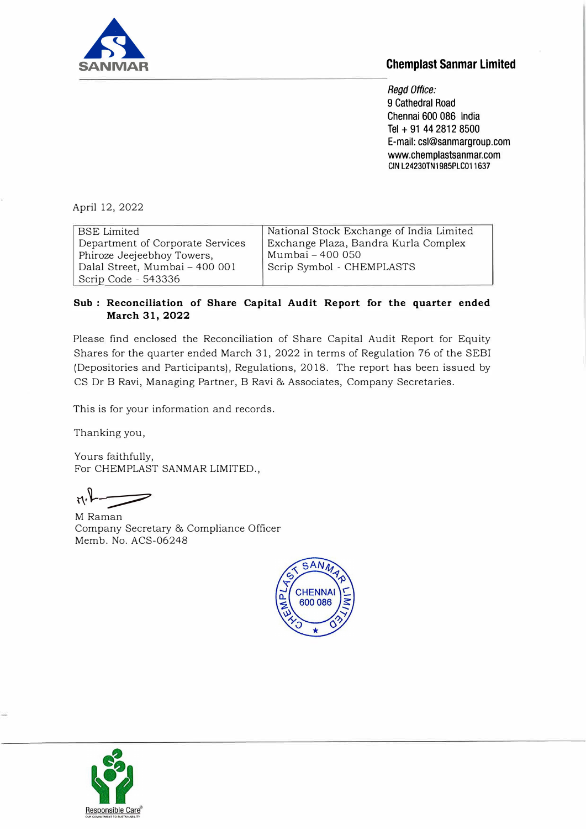

## **Chemplast Sanmar Limited**

*Regd Office:*  9 Cathedral Road Chennai 600 086 India Tel + 91 44 2812 8500 E-mail: csl@sanmargroup.com www.chemplastsanmar.com **GIN L24230TN1985PLC011637** 

April 12, 2022

| <b>BSE</b> Limited               | National Stock Exchange of India Limited |
|----------------------------------|------------------------------------------|
| Department of Corporate Services | Exchange Plaza, Bandra Kurla Complex     |
| Phiroze Jeejeebhoy Towers,       | Mumbai - 400 050                         |
| Dalal Street, Mumbai - 400 001   | Scrip Symbol - CHEMPLASTS                |
| Scrip Code - 543336              |                                          |

## **Sub : Reconciliation of Share Capital Audit Report for the quarter ended March 31, 2022**

Please find enclosed the Reconciliation of Share Capital Audit Report for Equity Shares for the quarter ended March 31, 2022 in terms of Regulation 76 of the SEBI (Depositories and Participants), Regulations, 2018. The report has been issued by CS Dr B Ravi, Managing Partner, B Ravi & Associates, Company Secretaries.

This is for your information and records.

Thanking you,

Yours faithfully, For CHEMPLAST SANMAR LIMITED.,

 $r_1$ .

M Raman Company Secretary & Compliance Officer Memb. No. ACS-06248



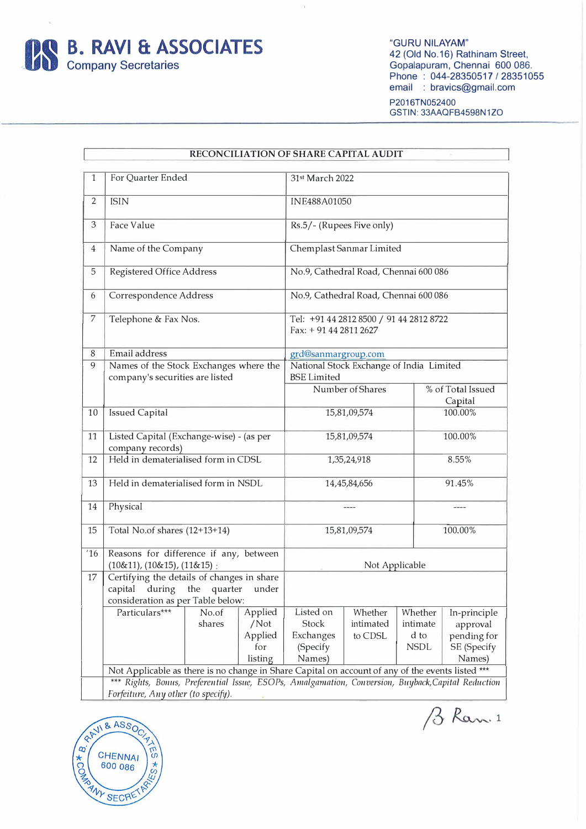

"GURU NILAYAM" 42 (Old No.16) Rathinam Street, Gopalapuram, Chennai 600 086. Phone: 044-28350517/28351055 email : bravics@gmail.com

P2016TN052400 GSTIN: 33AAQFB4598N1ZO

| RECONCILIATION OF SHARE CAPITAL AUDIT |                                                                                                   |                                            |                                                                |                                                                   |              |             |                              |  |
|---------------------------------------|---------------------------------------------------------------------------------------------------|--------------------------------------------|----------------------------------------------------------------|-------------------------------------------------------------------|--------------|-------------|------------------------------|--|
| 1                                     | For Quarter Ended                                                                                 |                                            |                                                                | 31st March 2022                                                   |              |             |                              |  |
|                                       |                                                                                                   |                                            |                                                                |                                                                   |              |             |                              |  |
| $\overline{2}$                        | <b>ISIN</b>                                                                                       |                                            |                                                                | INE488A01050                                                      |              |             |                              |  |
| 3                                     | Face Value                                                                                        |                                            |                                                                | Rs.5/- (Rupees Five only)                                         |              |             |                              |  |
| $\overline{4}$                        | Name of the Company                                                                               |                                            |                                                                | Chemplast Sanmar Limited                                          |              |             |                              |  |
| 5                                     | Registered Office Address                                                                         |                                            |                                                                | No.9, Cathedral Road, Chennai 600 086                             |              |             |                              |  |
| 6                                     | Correspondence Address                                                                            |                                            |                                                                | No.9, Cathedral Road, Chennai 600 086                             |              |             |                              |  |
| 7                                     | Telephone & Fax Nos.                                                                              |                                            |                                                                | Tel: +91 44 2812 8500 / 91 44 2812 8722<br>Fax: + 91 44 2811 2627 |              |             |                              |  |
| 8                                     | Email address                                                                                     |                                            |                                                                | grd@sanmargroup.com                                               |              |             |                              |  |
| 9                                     | Names of the Stock Exchanges where the<br>company's securities are listed                         |                                            | National Stock Exchange of India Limited<br><b>BSE Limited</b> |                                                                   |              |             |                              |  |
|                                       |                                                                                                   |                                            |                                                                | Number of Shares                                                  |              |             | % of Total Issued<br>Capital |  |
| 10                                    | <b>Issued Capital</b>                                                                             |                                            |                                                                | 15,81,09,574                                                      |              |             | 100.00%                      |  |
| 11                                    | Listed Capital (Exchange-wise) - (as per<br>company records)                                      |                                            |                                                                |                                                                   | 15,81,09,574 |             | 100.00%                      |  |
| 12                                    | Held in dematerialised form in CDSL                                                               |                                            |                                                                | 1,35,24,918                                                       |              |             | 8.55%                        |  |
| 13                                    | Held in dematerialised form in NSDL                                                               |                                            |                                                                | 14,45,84,656                                                      |              |             | 91.45%                       |  |
| 14                                    | Physical                                                                                          |                                            |                                                                | ----                                                              |              |             |                              |  |
| 15                                    | Total No.of shares (12+13+14)                                                                     |                                            | 15,81,09,574                                                   |                                                                   |              | 100.00%     |                              |  |
| 16                                    | Reasons for difference if any, between<br>$(10&11)$ , $(10&15)$ , $(11&15)$ :                     |                                            |                                                                | Not Applicable                                                    |              |             |                              |  |
| 17                                    |                                                                                                   | Certifying the details of changes in share |                                                                |                                                                   |              |             |                              |  |
|                                       | capital during the quarter                                                                        |                                            | under                                                          |                                                                   |              |             |                              |  |
|                                       | consideration as per Table below:                                                                 |                                            |                                                                |                                                                   |              |             |                              |  |
|                                       | Particulars***                                                                                    | No.of                                      | Applied                                                        | Listed on                                                         | Whether      | Whether     | In-principle                 |  |
|                                       |                                                                                                   | shares                                     | /Not                                                           | Stock                                                             | intimated    | intimate    | approval                     |  |
|                                       |                                                                                                   |                                            | Applied                                                        | Exchanges                                                         | to CDSL      | d to        | pending for                  |  |
|                                       |                                                                                                   |                                            | for                                                            | (Specify                                                          |              | <b>NSDL</b> | SE (Specify                  |  |
|                                       |                                                                                                   |                                            | listing                                                        | Names)                                                            |              |             | Names)                       |  |
|                                       | Not Applicable as there is no change in Share Capital on account of any of the events listed ***  |                                            |                                                                |                                                                   |              |             |                              |  |
|                                       | *** Rights, Bonus, Preferential Issue, ESOPs, Amalgamation, Conversion, Buyback,Capital Reduction |                                            |                                                                |                                                                   |              |             |                              |  |
|                                       | Forfeiture, Any other (to specify).                                                               |                                            |                                                                |                                                                   |              |             |                              |  |

 $\widetilde{\mathbf{X}}$ 



B Ram. 1